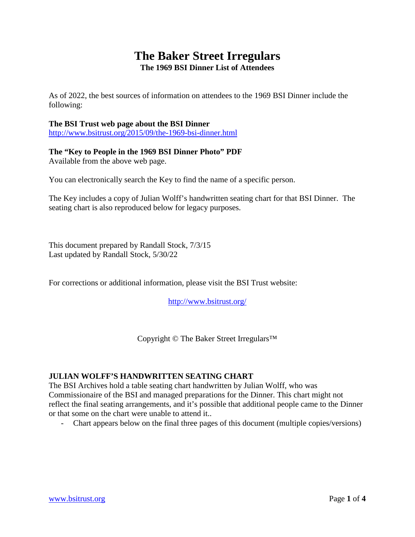## **The Baker Street Irregulars The 1969 BSI Dinner List of Attendees**

As of 2022, the best sources of information on attendees to the 1969 BSI Dinner include the following:

## **The BSI Trust web page about the BSI Dinner**

<http://www.bsitrust.org/2015/09/the-1969-bsi-dinner.html>

## **The "Key to People in the 1969 BSI Dinner Photo" PDF**

Available from the above web page.

You can electronically search the Key to find the name of a specific person.

The Key includes a copy of Julian Wolff's handwritten seating chart for that BSI Dinner. The seating chart is also reproduced below for legacy purposes.

This document prepared by Randall Stock, 7/3/15 Last updated by Randall Stock, 5/30/22

For corrections or additional information, please visit the BSI Trust website:

<http://www.bsitrust.org/>

Copyright © The Baker Street Irregulars™

## **JULIAN WOLFF'S HANDWRITTEN SEATING CHART**

The BSI Archives hold a table seating chart handwritten by Julian Wolff, who was Commissionaire of the BSI and managed preparations for the Dinner. This chart might not reflect the final seating arrangements, and it's possible that additional people came to the Dinner or that some on the chart were unable to attend it..

- Chart appears below on the final three pages of this document (multiple copies/versions)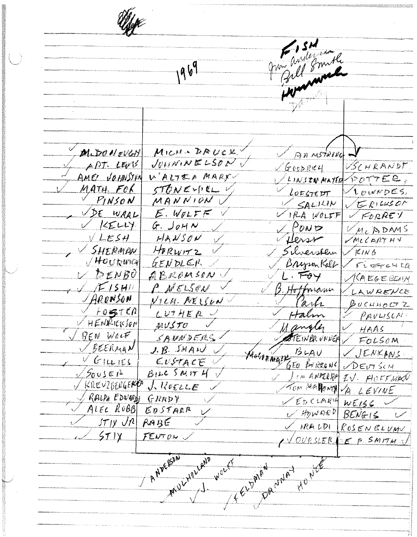آمري grow anderson Bill Smith 1969 wannak MICH . DRUCK M. DO NOVEN AR MSTRING  $J_{VII}N_{1}N_{2}ELS_{UV}$ APT. LEVE VSCHRANDT,  $G$ copRICH WALTED MARX AMES VOLINSTAN LINSTRANTER POTTER. STONEWILL V MATH FOR  $A$ owNDES,  $L$ OFGTEDT MANNIONU  $PINSON$  $VERIUSON$ SALILIN VDE WAAL  $E.W_{I L F}$ VFORREY UPPA WOLFF  $K_E L V$  $G.$   $J_0H N$  $\vee$  POND VMCADAMS  $VLESH$  $HAWSOV$ VMCLARTHY Vilessen SHERMAN HORWITZ / Silverstean  $\sqrt{K}$ ING  $\sqrt{H}$ o $U$ ban $\gamma$ GENDLER BrysonKall FLETCHER ABROUSON  $\nu$   $b$ *ENBO*  $L \cdot \overline{F} \rightarrow$ VGEGEBOUN  $\times$  TE ISMIN P. NELSON 3. Hoffmann LAWRENCE ARONSON <u>VILA. MELSUN</u> Parts BUCHNOCTZ  $FO57CO$  $LUTHER$ Halm PAVLISCA HENRICKSON MUSTO Mangler HAAS  $\sqrt{B} \epsilon N$  Work SANNOFRS **STEINBRVNNEN** V FOLSOM  $V$  BEERMAN  $J. B.$  SMAW  $BU$  $V$ JENKANS Metrz Nazy  $V$  GILLIES  $CUSTACE$ GEO BORROWS **DEUTSCH**  $\sqrt{50}$ usen  $B122500T4V$ I IN ANDERIN IV. HOFFMAN V KREVIBERGERED J. KOELLE Tom MARONA VA LEVINE / RALPH EDWARD!  $GRRDY$  $VEDCIRU$  $wE156$ ALEC ROBB  $EDSTARR$  $\boldsymbol{\mathcal{V}}$ U HOWARD  $BENf^{-1}$  $JT/Y$   $JR$   $RAGE$  $R$ ALDI ROSENBLUMV  $571$ FENTON, OURSLER EP SMITHS ANDERSON WOLF Howles FELPARN CINAT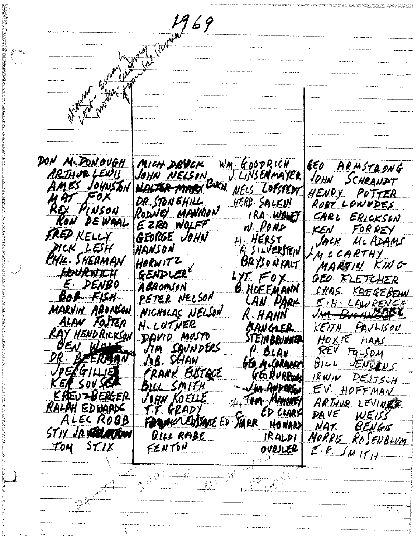Miller Cornel 69 DON MCDONOVGH MICH DRUCK  $WM \cdot G00PRICW$ ARMSTRONG EEO ARTHUR LEWIS JOHN NELSIN J. LINSENMAYER SCHEANDT JOHN NALTER MARX BUCH, NELS LOPSTEDY AMES JOHNSTON HENRY POTTER MAT FOX DR. STON EHILL HERB SALKIN ROBT LOWNDES REX PINSON RODNEY MANNION IRA-WOLF CARL ERICKSON RON DE WAAL EZRA WOLFF  $N$   $POND$ FORREY KEN FRED KELLY GEORGE JOHN H. HERST JACK MC ADAMS DICK LESH HANSON A SILVERSTEIN LMCCARTHY PHIL. SHERMAN HORWITZ BRYSONKALT MARTIN KING GENDLER HOURWICH LYT FOX GEO. FLETCHER E DENBO ABROMSON <u>B. Hoffmann</u> KAEGEBEHN CHAS. PETER NELSON BOB FISH LAN DARK EIH LAWRENCE<br>I<del>M DucHHOLDE</del> MARVIN ARONSON NICHOLAS NELSON R HANN J) <del>M</del> ALAN FOSTER H. LUTHER MANGLER  $KETJH$ PAULISON RAY HENDRICKSON DAVID MUSTO **STEIN BRUNNER**  $HOKIE$ HAAS OEN WOL CAUNDERS  $\sqrt{7}$ *M*  $FqLfOM$  $P.$  BLAV REV. BEERMAN DR. **JEB. SHAW**  $B$ <sub>1</sub> $L$ **JENRENS** GEO M.CORANY VIENGILLIE FRANK EUSTQCE GEO BURROUS DEUTSCH  $RWH$ SOVSER BILL SMITH Jun ANDERG EV. HOFFMAN KREUZBERGER JOHN KOELLE Fom Mayonsy ARTHUR LEVINES RALPH EDWARDS T.F. GRADY ED CLARY DAVE  $WEIS$ ALEC ROBB FORMY CUSTAVE ED STARR HONAN NAT BENGIS STIY JR WELMOW BILL RABE  $|RALP|$ MORRIS ROSENBLUM TOM STIX FENTON  $E.P.$  SMITH OVRSLER